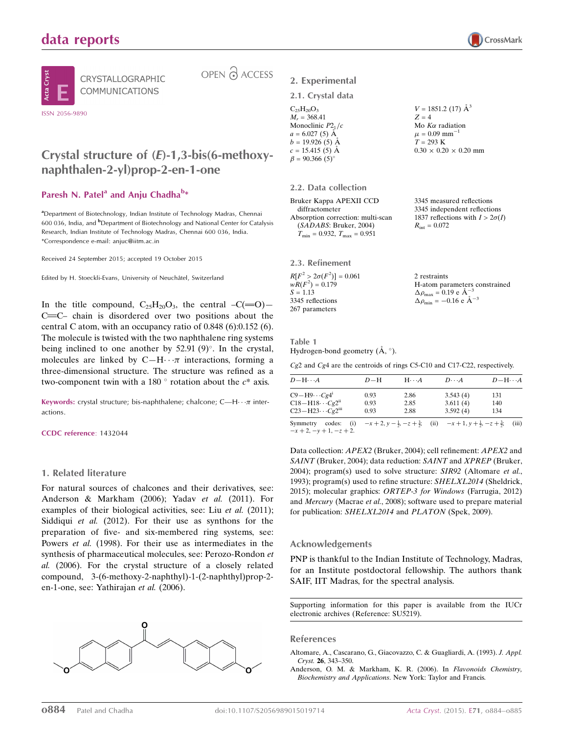



CRYSTALLOGRAPHIC COMMUNICATIONS

# OPEN 2 ACCESS

## Crystal structure of (E)-1,3-bis(6-methoxynaphthalen-2-yl)prop-2-en-1-one

### Paresh N. Patel<sup>a</sup> and Anju Chadha<sup>b\*</sup>

<sup>a</sup>Department of Biotechnology, Indian Institute of Technology Madras, Chennai 600 036, India, and <sup>b</sup>Department of Biotechnology and National Center for Catalysis Research, Indian Institute of Technology Madras, Chennai 600 036, India. \*Correspondence e-mail: anjuc@iitm.ac.in

Received 24 September 2015; accepted 19 October 2015

Edited by H. Stoeckli-Evans, University of Neuchâtel, Switzerland

In the title compound,  $C_{25}H_{20}O_3$ , the central  $-C(=0)$ C=C- chain is disordered over two positions about the central C atom, with an occupancy ratio of 0.848 (6):0.152 (6). The molecule is twisted with the two naphthalene ring systems being inclined to one another by  $52.91 (9)^\circ$ . In the crystal, molecules are linked by  $C-H \cdots \pi$  interactions, forming a three-dimensional structure. The structure was refined as a two-component twin with a 180  $^{\circ}$  rotation about the  $c^*$  axis.

**Keywords:** crystal structure; bis-naphthalene; chalcone; C—H $\cdots$  $\pi$  interactions.

CCDC reference: 1432044

#### 1. Related literature

For natural sources of chalcones and their derivatives, see: Anderson & Markham (2006); Yadav et al. (2011). For examples of their biological activities, see: Liu et al. (2011); Siddiqui et al. (2012). For their use as synthons for the preparation of five- and six-membered ring systems, see: Powers et al. (1998). For their use as intermediates in the synthesis of pharmaceutical molecules, see: Perozo-Rondon et al. (2006). For the crystal structure of a closely related compound, 3-(6-methoxy-2-naphthyl)-1-(2-naphthyl)prop-2 en-1-one, see: Yathirajan et al. (2006).



### 2. Experimental

#### 2.1. Crystal data

| $C_{25}H_{20}O_3$     |   |
|-----------------------|---|
| $M_r = 368.41$        | 7 |
| Monoclinic $P21/c$    | ٨ |
| $a = 6.027(5)$ A      | μ |
| $b = 19.926(5)$ Å     | 7 |
| $c = 15.415(5)$ Å     | 0 |
| $\beta = 90.366(5)$ ° |   |

2.2. Data collection

Bruker Kappa APEXII CCD diffractometer Absorption correction: multi-scan (SADABS: Bruker, 2004)  $T_{\text{min}} = 0.932, T_{\text{max}} = 0.951$ 

2.3. Refinement  $R[F^2 > 2\sigma(F^2)] = 0.061$  $wR(F^2) = 0.179$  $S = 1.13$ 3345 reflections 267 parameters

 $V = 1851.2$  (17)  $\mathring{A}^3$  $\zeta = 4$ Mo  $K\alpha$  radiation  $= 0.09$  mm<sup>-1</sup>  $= 293 K$  $0.30 \times 0.20 \times 0.20$  mm

3345 measured reflections 3345 independent reflections 1837 reflections with  $I > 2\sigma(I)$  $R_{\rm int} = 0.072$ 

2 restraints H-atom parameters constrained  $\Delta \rho_{\text{max}} = 0.19 \text{ e A}^{-3}$  $\Delta \rho_{\text{min}} = -0.16 \text{ e A}^{-3}$ 

Table 1 Hydrogen-bond geometry  $(\AA, \degree)$ .

Cg2 and Cg4 are the centroids of rings C5-C10 and C17-C22, respectively.

| $D - H \cdots A$                                                                                          | $D-H$                | $H \cdot \cdot \cdot A$ | $D\cdots A$                      | $D - H \cdots A$                                                                                     |       |
|-----------------------------------------------------------------------------------------------------------|----------------------|-------------------------|----------------------------------|------------------------------------------------------------------------------------------------------|-------|
| $C9 - H9 \cdots Cg4$ <sup>i</sup><br>$C18 - H18 \cdots Cg2^{ii}$<br>$C23 - H23 \cdots Cg2$ <sup>iii</sup> | 0.93<br>0.93<br>0.93 | 2.86<br>2.85<br>2.88    | 3.543(4)<br>3.611(4)<br>3.592(4) | 131<br>140<br>134                                                                                    |       |
| codes:<br>Symmetry<br>$-x+2$ , $-y+1$ , $-z+2$ .                                                          |                      |                         |                                  | (i) $-x+2$ , $y-\frac{1}{2}$ , $-z+\frac{3}{2}$ ; (ii) $-x+1$ , $y+\frac{1}{2}$ , $-z+\frac{3}{2}$ ; | (iii) |

Data collection: APEX2 (Bruker, 2004); cell refinement: APEX2 and SAINT (Bruker, 2004); data reduction: SAINT and XPREP (Bruker, 2004); program(s) used to solve structure:  $SIR92$  (Altomare *et al.*, 1993); program(s) used to refine structure: SHELXL2014 (Sheldrick, 2015); molecular graphics: ORTEP-3 for Windows (Farrugia, 2012) and Mercury (Macrae et al., 2008); software used to prepare material for publication: SHELXL2014 and PLATON (Spek, 2009).

#### Acknowledgements

PNP is thankful to the Indian Institute of Technology, Madras, for an Institute postdoctoral fellowship. The authors thank SAIF, IIT Madras, for the spectral analysis.

Supporting information for this paper is available from the IUCr electronic archives (Reference: SU5219).

#### References

[Altomare, A., Cascarano, G., Giacovazzo, C. & Guagliardi, A. \(1993\).](http://scripts.iucr.org/cgi-bin/cr.cgi?rm=pdfbb&cnor=su5219&bbid=BB1) J. Appl. Cryst. 26[, 343–350.](http://scripts.iucr.org/cgi-bin/cr.cgi?rm=pdfbb&cnor=su5219&bbid=BB1)

[Anderson, O. M. & Markham, K. R. \(2006\). In](http://scripts.iucr.org/cgi-bin/cr.cgi?rm=pdfbb&cnor=su5219&bbid=BB2) Flavonoids Chemistry, Biochemistry and Applications[. New York: Taylor and Francis.](http://scripts.iucr.org/cgi-bin/cr.cgi?rm=pdfbb&cnor=su5219&bbid=BB2)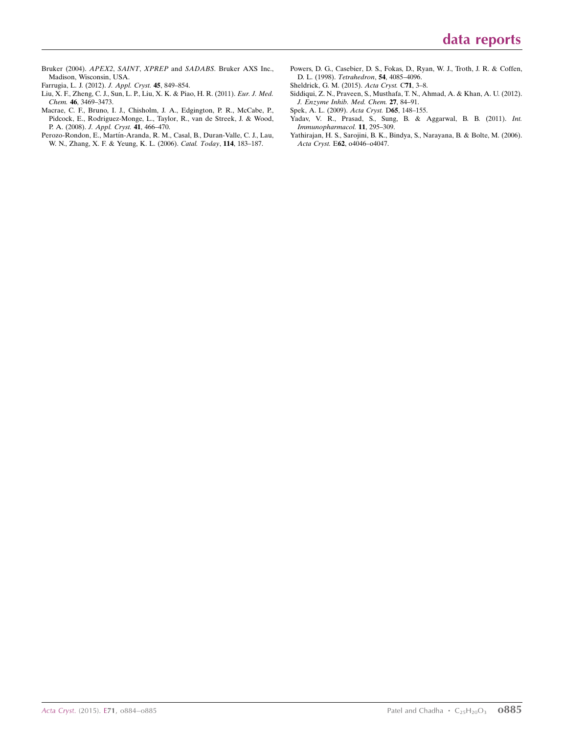- Bruker (2004). APEX2, SAINT, XPREP and SADABS[. Bruker AXS Inc.,](http://scripts.iucr.org/cgi-bin/cr.cgi?rm=pdfbb&cnor=su5219&bbid=BB3) [Madison, Wisconsin, USA.](http://scripts.iucr.org/cgi-bin/cr.cgi?rm=pdfbb&cnor=su5219&bbid=BB3)
- [Farrugia, L. J. \(2012\).](http://scripts.iucr.org/cgi-bin/cr.cgi?rm=pdfbb&cnor=su5219&bbid=BB4) J. Appl. Cryst. 45, 849–854.
- [Liu, X. F., Zheng, C. J., Sun, L. P., Liu, X. K. & Piao, H. R. \(2011\).](http://scripts.iucr.org/cgi-bin/cr.cgi?rm=pdfbb&cnor=su5219&bbid=BB5) Eur. J. Med. Chem. 46[, 3469–3473.](http://scripts.iucr.org/cgi-bin/cr.cgi?rm=pdfbb&cnor=su5219&bbid=BB5)
- [Macrae, C. F., Bruno, I. J., Chisholm, J. A., Edgington, P. R., McCabe, P.,](http://scripts.iucr.org/cgi-bin/cr.cgi?rm=pdfbb&cnor=su5219&bbid=BB6) [Pidcock, E., Rodriguez-Monge, L., Taylor, R., van de Streek, J. & Wood,](http://scripts.iucr.org/cgi-bin/cr.cgi?rm=pdfbb&cnor=su5219&bbid=BB6) P. A. (2008). [J. Appl. Cryst.](http://scripts.iucr.org/cgi-bin/cr.cgi?rm=pdfbb&cnor=su5219&bbid=BB6) 41, 466–470.
- Perozo-Rondon, E., Martín-Aranda, R. M., Casal, B., Duran-Valle, C. J., Lau, [W. N., Zhang, X. F. & Yeung, K. L. \(2006\).](http://scripts.iucr.org/cgi-bin/cr.cgi?rm=pdfbb&cnor=su5219&bbid=BB7) Catal. Today, 114, 183–187.
- [Powers, D. G., Casebier, D. S., Fokas, D., Ryan, W. J., Troth, J. R. & Coffen,](http://scripts.iucr.org/cgi-bin/cr.cgi?rm=pdfbb&cnor=su5219&bbid=BB8) [D. L. \(1998\).](http://scripts.iucr.org/cgi-bin/cr.cgi?rm=pdfbb&cnor=su5219&bbid=BB8) Tetrahedron, 54, 4085–4096.
- [Sheldrick, G. M. \(2015\).](http://scripts.iucr.org/cgi-bin/cr.cgi?rm=pdfbb&cnor=su5219&bbid=BB9) Acta Cryst. C71, 3–8.
- [Siddiqui, Z. N., Praveen, S., Musthafa, T. N., Ahmad, A. & Khan, A. U. \(2012\).](http://scripts.iucr.org/cgi-bin/cr.cgi?rm=pdfbb&cnor=su5219&bbid=BB10) [J. Enzyme Inhib. Med. Chem.](http://scripts.iucr.org/cgi-bin/cr.cgi?rm=pdfbb&cnor=su5219&bbid=BB10) 27, 84–91.
- [Spek, A. L. \(2009\).](http://scripts.iucr.org/cgi-bin/cr.cgi?rm=pdfbb&cnor=su5219&bbid=BB11) Acta Cryst. D65, 148–155.
- [Yadav, V. R., Prasad, S., Sung, B. & Aggarwal, B. B. \(2011\).](http://scripts.iucr.org/cgi-bin/cr.cgi?rm=pdfbb&cnor=su5219&bbid=BB12) Int. [Immunopharmacol.](http://scripts.iucr.org/cgi-bin/cr.cgi?rm=pdfbb&cnor=su5219&bbid=BB12) 11, 295–309.
- [Yathirajan, H. S., Sarojini, B. K., Bindya, S., Narayana, B. & Bolte, M. \(2006\).](http://scripts.iucr.org/cgi-bin/cr.cgi?rm=pdfbb&cnor=su5219&bbid=BB13) Acta Cryst. E62[, o4046–o4047.](http://scripts.iucr.org/cgi-bin/cr.cgi?rm=pdfbb&cnor=su5219&bbid=BB13)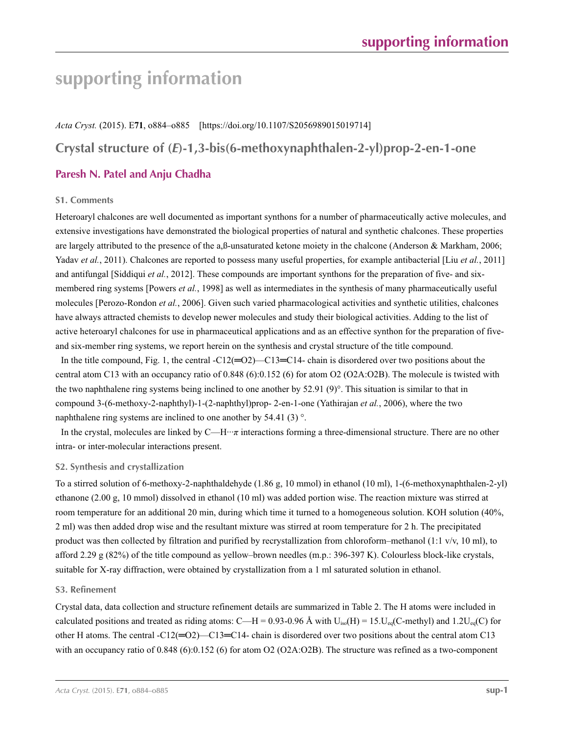## **supporting information**

*Acta Cryst.* (2015). E**71**, o884–o885 [https://doi.org/10.1107/S2056989015019714]

**Crystal structure of (***E***)-1,3-bis(6-methoxynaphthalen-2-yl)prop-2-en-1-one**

## **Paresh N. Patel and Anju Chadha**

#### **S1. Comments**

Heteroaryl chalcones are well documented as important synthons for a number of pharmaceutically active molecules, and extensive investigations have demonstrated the biological properties of natural and synthetic chalcones. These properties are largely attributed to the presence of the a,ß-unsaturated ketone moiety in the chalcone (Anderson & Markham, 2006; Yadav *et al.*, 2011). Chalcones are reported to possess many useful properties, for example antibacterial [Liu *et al.*, 2011] and antifungal [Siddiqui *et al.*, 2012]. These compounds are important synthons for the preparation of five- and sixmembered ring systems [Powers *et al.*, 1998] as well as intermediates in the synthesis of many pharmaceutically useful molecules [Perozo-Rondon *et al.*, 2006]. Given such varied pharmacological activities and synthetic utilities, chalcones have always attracted chemists to develop newer molecules and study their biological activities. Adding to the list of active heteroaryl chalcones for use in pharmaceutical applications and as an effective synthon for the preparation of fiveand six-member ring systems, we report herein on the synthesis and crystal structure of the title compound.

In the title compound, Fig. 1, the central -C12( $=$ O2)—C13 $=$ C14- chain is disordered over two positions about the central atom C13 with an occupancy ratio of 0.848 (6):0.152 (6) for atom O2 (O2A:O2B). The molecule is twisted with the two naphthalene ring systems being inclined to one another by 52.91 (9)°. This situation is similar to that in compound 3-(6-methoxy-2-naphthyl)-1-(2-naphthyl)prop- 2-en-1-one (Yathirajan *et al.*, 2006), where the two naphthalene ring systems are inclined to one another by 54.41 (3) °.

In the crystal, molecules are linked by C—H···*π* interactions forming a three-dimensional structure. There are no other intra- or inter-molecular interactions present.

#### **S2. Synthesis and crystallization**

To a stirred solution of 6-methoxy-2-naphthaldehyde (1.86 g, 10 mmol) in ethanol (10 ml), 1-(6-methoxynaphthalen-2-yl) ethanone (2.00 g, 10 mmol) dissolved in ethanol (10 ml) was added portion wise. The reaction mixture was stirred at room temperature for an additional 20 min, during which time it turned to a homogeneous solution. KOH solution (40%, 2 ml) was then added drop wise and the resultant mixture was stirred at room temperature for 2 h. The precipitated product was then collected by filtration and purified by recrystallization from chloroform–methanol (1:1 v/v, 10 ml), to afford 2.29 g (82%) of the title compound as yellow–brown needles (m.p.: 396-397 K). Colourless block-like crystals, suitable for X-ray diffraction, were obtained by crystallization from a 1 ml saturated solution in ethanol.

#### **S3. Refinement**

Crystal data, data collection and structure refinement details are summarized in Table 2. The H atoms were included in calculated positions and treated as riding atoms: C—H = 0.93-0.96 Å with  $U_{iso}(H) = 15$ .U<sub>eq</sub>(C-methyl) and 1.2U<sub>eq</sub>(C) for other H atoms. The central -C12(=O2)—C13=C14- chain is disordered over two positions about the central atom C13 with an occupancy ratio of 0.848 (6):0.152 (6) for atom O2 (O2A:O2B). The structure was refined as a two-component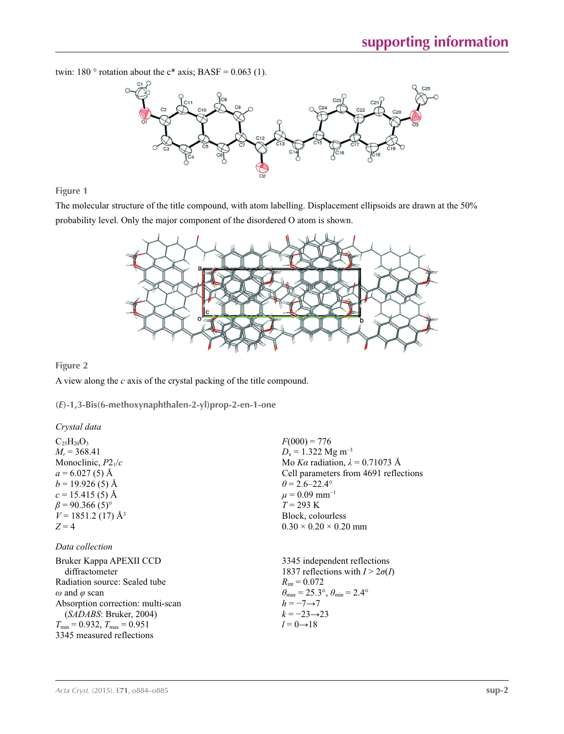twin: 180  $\degree$  rotation about the c\* axis; BASF = 0.063 (1).



**Figure 1**

The molecular structure of the title compound, with atom labelling. Displacement ellipsoids are drawn at the 50% probability level. Only the major component of the disordered O atom is shown.



 $F(000) = 776$  $D_x = 1.322$  Mg m<sup>-3</sup>

 $\theta$  = 2.6–22.4°  $\mu$  = 0.09 mm<sup>-1</sup>  $T = 293 \text{ K}$ Block, colourless  $0.30 \times 0.20 \times 0.20$  mm

Mo *Kα* radiation, *λ* = 0.71073 Å Cell parameters from 4691 reflections

#### **Figure 2**

A view along the *c* axis of the crystal packing of the title compound.

**(***E***)-1,3-Bis(6-methoxynaphthalen-2-yl)prop-2-en-1-one** 

#### *Crystal data*

 $C_{25}H_{20}O_3$  $M_r$  = 368.41 Monoclinic, *P*21/*c*  $a = 6.027(5)$  Å  $b = 19.926(5)$  Å  $c = 15.415(5)$  Å  $\beta$  = 90.366 (5)<sup>°</sup>  $V = 1851.2$  (17) Å<sup>3</sup>  $Z = 4$ 

#### *Data collection*

| Bruker Kappa APEXII CCD                             | 3345 independent reflections                                            |
|-----------------------------------------------------|-------------------------------------------------------------------------|
| diffractometer                                      | 1837 reflections with $I > 2\sigma(I)$                                  |
| Radiation source: Sealed tube                       | $R_{\text{int}} = 0.072$                                                |
| $\omega$ and $\varphi$ scan                         | $\theta_{\text{max}} = 25.3^{\circ}, \theta_{\text{min}} = 2.4^{\circ}$ |
| Absorption correction: multi-scan                   | $h = -7 \rightarrow 7$                                                  |
| (SADABS; Bruker, 2004)                              | $k = -23 \rightarrow 23$                                                |
| $T_{\text{min}} = 0.932$ , $T_{\text{max}} = 0.951$ | $l = 0 \rightarrow 18$                                                  |
| 3345 measured reflections                           |                                                                         |
|                                                     |                                                                         |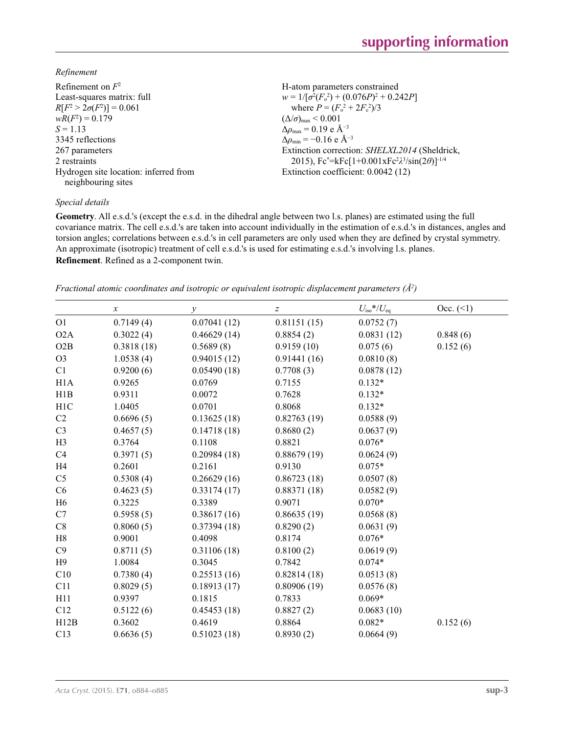*Refinement*

| Refinement on $F^2$                   | H-atom parameters constrained                                  |
|---------------------------------------|----------------------------------------------------------------|
| Least-squares matrix: full            | $w = 1/[\sigma^2(F_0^2) + (0.076P)^2 + 0.242P]$                |
| $R[F^2 > 2\sigma(F^2)] = 0.061$       | where $P = (F_o^2 + 2F_c^2)/3$                                 |
| $wR(F^2) = 0.179$                     | $(\Delta/\sigma)_{\text{max}}$ < 0.001                         |
| $S = 1.13$                            | $\Delta \rho_{\text{max}} = 0.19 \text{ e A}^{-3}$             |
| 3345 reflections                      | $\Delta \rho_{\rm min} = -0.16$ e Å <sup>-3</sup>              |
| 267 parameters                        | Extinction correction: SHELXL2014 (Sheldrick,                  |
| 2 restraints                          | 2015), $Fc^* = kFc[1+0.001xFc^2\lambda^3/sin(2\theta)]^{-1/4}$ |
| Hydrogen site location: inferred from | Extinction coefficient: 0.0042 (12)                            |
| neighbouring sites                    |                                                                |

#### *Special details*

**Geometry**. All e.s.d.'s (except the e.s.d. in the dihedral angle between two l.s. planes) are estimated using the full covariance matrix. The cell e.s.d.'s are taken into account individually in the estimation of e.s.d.'s in distances, angles and torsion angles; correlations between e.s.d.'s in cell parameters are only used when they are defined by crystal symmetry. An approximate (isotropic) treatment of cell e.s.d.'s is used for estimating e.s.d.'s involving l.s. planes. **Refinement**. Refined as a 2-component twin.

*Fractional atomic coordinates and isotropic or equivalent isotropic displacement parameters (Å<sup>2</sup>)* 

|                | $\boldsymbol{x}$ | у           | $\boldsymbol{Z}$ | $U_{\rm iso}$ */ $U_{\rm eq}$ | $Occ. ( \le 1)$ |
|----------------|------------------|-------------|------------------|-------------------------------|-----------------|
| O <sub>1</sub> | 0.7149(4)        | 0.07041(12) | 0.81151(15)      | 0.0752(7)                     |                 |
| O2A            | 0.3022(4)        | 0.46629(14) | 0.8854(2)        | 0.0831(12)                    | 0.848(6)        |
| O2B            | 0.3818(18)       | 0.5689(8)   | 0.9159(10)       | 0.075(6)                      | 0.152(6)        |
| O <sub>3</sub> | 1.0538(4)        | 0.94015(12) | 0.91441(16)      | 0.0810(8)                     |                 |
| C1             | 0.9200(6)        | 0.05490(18) | 0.7708(3)        | 0.0878(12)                    |                 |
| H1A            | 0.9265           | 0.0769      | 0.7155           | $0.132*$                      |                 |
| H1B            | 0.9311           | 0.0072      | 0.7628           | $0.132*$                      |                 |
| H1C            | 1.0405           | 0.0701      | 0.8068           | $0.132*$                      |                 |
| C2             | 0.6696(5)        | 0.13625(18) | 0.82763(19)      | 0.0588(9)                     |                 |
| C <sub>3</sub> | 0.4657(5)        | 0.14718(18) | 0.8680(2)        | 0.0637(9)                     |                 |
| H <sub>3</sub> | 0.3764           | 0.1108      | 0.8821           | $0.076*$                      |                 |
| C4             | 0.3971(5)        | 0.20984(18) | 0.88679(19)      | 0.0624(9)                     |                 |
| H4             | 0.2601           | 0.2161      | 0.9130           | $0.075*$                      |                 |
| C <sub>5</sub> | 0.5308(4)        | 0.26629(16) | 0.86723(18)      | 0.0507(8)                     |                 |
| C6             | 0.4623(5)        | 0.33174(17) | 0.88371(18)      | 0.0582(9)                     |                 |
| H <sub>6</sub> | 0.3225           | 0.3389      | 0.9071           | $0.070*$                      |                 |
| C7             | 0.5958(5)        | 0.38617(16) | 0.86635(19)      | 0.0568(8)                     |                 |
| C8             | 0.8060(5)        | 0.37394(18) | 0.8290(2)        | 0.0631(9)                     |                 |
| H8             | 0.9001           | 0.4098      | 0.8174           | $0.076*$                      |                 |
| C9             | 0.8711(5)        | 0.31106(18) | 0.8100(2)        | 0.0619(9)                     |                 |
| H9             | 1.0084           | 0.3045      | 0.7842           | $0.074*$                      |                 |
| C10            | 0.7380(4)        | 0.25513(16) | 0.82814(18)      | 0.0513(8)                     |                 |
| C11            | 0.8029(5)        | 0.18913(17) | 0.80906(19)      | 0.0576(8)                     |                 |
| H11            | 0.9397           | 0.1815      | 0.7833           | $0.069*$                      |                 |
| C12            | 0.5122(6)        | 0.45453(18) | 0.8827(2)        | 0.0683(10)                    |                 |
| H12B           | 0.3602           | 0.4619      | 0.8864           | $0.082*$                      | 0.152(6)        |
| C13            | 0.6636(5)        | 0.51023(18) | 0.8930(2)        | 0.0664(9)                     |                 |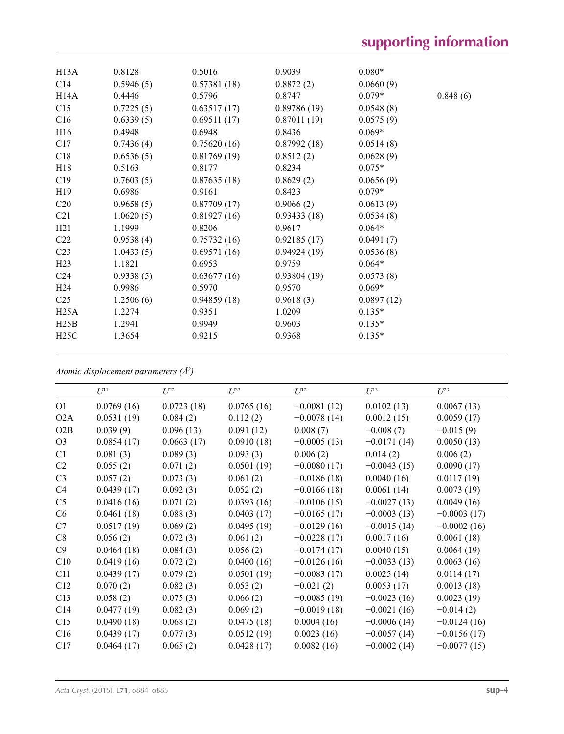| H13A            | 0.8128    | 0.5016      | 0.9039      | $0.080*$   |          |
|-----------------|-----------|-------------|-------------|------------|----------|
| C14             | 0.5946(5) | 0.57381(18) | 0.8872(2)   | 0.0660(9)  |          |
| H14A            | 0.4446    | 0.5796      | 0.8747      | $0.079*$   | 0.848(6) |
| C15             | 0.7225(5) | 0.63517(17) | 0.89786(19) | 0.0548(8)  |          |
| C16             | 0.6339(5) | 0.69511(17) | 0.87011(19) | 0.0575(9)  |          |
| H16             | 0.4948    | 0.6948      | 0.8436      | $0.069*$   |          |
| C17             | 0.7436(4) | 0.75620(16) | 0.87992(18) | 0.0514(8)  |          |
| C18             | 0.6536(5) | 0.81769(19) | 0.8512(2)   | 0.0628(9)  |          |
| H18             | 0.5163    | 0.8177      | 0.8234      | $0.075*$   |          |
| C19             | 0.7603(5) | 0.87635(18) | 0.8629(2)   | 0.0656(9)  |          |
| H19             | 0.6986    | 0.9161      | 0.8423      | $0.079*$   |          |
| C <sub>20</sub> | 0.9658(5) | 0.87709(17) | 0.9066(2)   | 0.0613(9)  |          |
| C <sub>21</sub> | 1.0620(5) | 0.81927(16) | 0.93433(18) | 0.0534(8)  |          |
| H21             | 1.1999    | 0.8206      | 0.9617      | $0.064*$   |          |
| C22             | 0.9538(4) | 0.75732(16) | 0.92185(17) | 0.0491(7)  |          |
| C <sub>23</sub> | 1.0433(5) | 0.69571(16) | 0.94924(19) | 0.0536(8)  |          |
| H <sub>23</sub> | 1.1821    | 0.6953      | 0.9759      | $0.064*$   |          |
| C <sub>24</sub> | 0.9338(5) | 0.63677(16) | 0.93804(19) | 0.0573(8)  |          |
| H <sub>24</sub> | 0.9986    | 0.5970      | 0.9570      | $0.069*$   |          |
| C <sub>25</sub> | 1.2506(6) | 0.94859(18) | 0.9618(3)   | 0.0897(12) |          |
| H25A            | 1.2274    | 0.9351      | 1.0209      | $0.135*$   |          |
| H25B            | 1.2941    | 0.9949      | 0.9603      | $0.135*$   |          |
| H25C            | 1.3654    | 0.9215      | 0.9368      | $0.135*$   |          |

*Atomic displacement parameters (Å2 )*

|                  | $U^{11}$   | $U^{22}$   | $U^{33}$   | $U^{12}$      | $U^{13}$      | $U^{23}$      |
|------------------|------------|------------|------------|---------------|---------------|---------------|
| O <sub>1</sub>   | 0.0769(16) | 0.0723(18) | 0.0765(16) | $-0.0081(12)$ | 0.0102(13)    | 0.0067(13)    |
| O <sub>2</sub> A | 0.0531(19) | 0.084(2)   | 0.112(2)   | $-0.0078(14)$ | 0.0012(15)    | 0.0059(17)    |
| O2B              | 0.039(9)   | 0.096(13)  | 0.091(12)  | 0.008(7)      | $-0.008(7)$   | $-0.015(9)$   |
| O <sub>3</sub>   | 0.0854(17) | 0.0663(17) | 0.0910(18) | $-0.0005(13)$ | $-0.0171(14)$ | 0.0050(13)    |
| C1               | 0.081(3)   | 0.089(3)   | 0.093(3)   | 0.006(2)      | 0.014(2)      | 0.006(2)      |
| C <sub>2</sub>   | 0.055(2)   | 0.071(2)   | 0.0501(19) | $-0.0080(17)$ | $-0.0043(15)$ | 0.0090(17)    |
| C <sub>3</sub>   | 0.057(2)   | 0.073(3)   | 0.061(2)   | $-0.0186(18)$ | 0.0040(16)    | 0.0117(19)    |
| C <sub>4</sub>   | 0.0439(17) | 0.092(3)   | 0.052(2)   | $-0.0166(18)$ | 0.0061(14)    | 0.0073(19)    |
| C <sub>5</sub>   | 0.0416(16) | 0.071(2)   | 0.0393(16) | $-0.0106(15)$ | $-0.0027(13)$ | 0.0049(16)    |
| C6               | 0.0461(18) | 0.088(3)   | 0.0403(17) | $-0.0165(17)$ | $-0.0003(13)$ | $-0.0003(17)$ |
| C7               | 0.0517(19) | 0.069(2)   | 0.0495(19) | $-0.0129(16)$ | $-0.0015(14)$ | $-0.0002(16)$ |
| C8               | 0.056(2)   | 0.072(3)   | 0.061(2)   | $-0.0228(17)$ | 0.0017(16)    | 0.0061(18)    |
| C9               | 0.0464(18) | 0.084(3)   | 0.056(2)   | $-0.0174(17)$ | 0.0040(15)    | 0.0064(19)    |
| C10              | 0.0419(16) | 0.072(2)   | 0.0400(16) | $-0.0126(16)$ | $-0.0033(13)$ | 0.0063(16)    |
| C11              | 0.0439(17) | 0.079(2)   | 0.0501(19) | $-0.0083(17)$ | 0.0025(14)    | 0.0114(17)    |
| C12              | 0.070(2)   | 0.082(3)   | 0.053(2)   | $-0.021(2)$   | 0.0053(17)    | 0.0013(18)    |
| C13              | 0.058(2)   | 0.075(3)   | 0.066(2)   | $-0.0085(19)$ | $-0.0023(16)$ | 0.0023(19)    |
| C14              | 0.0477(19) | 0.082(3)   | 0.069(2)   | $-0.0019(18)$ | $-0.0021(16)$ | $-0.014(2)$   |
| C15              | 0.0490(18) | 0.068(2)   | 0.0475(18) | 0.0004(16)    | $-0.0006(14)$ | $-0.0124(16)$ |
| C16              | 0.0439(17) | 0.077(3)   | 0.0512(19) | 0.0023(16)    | $-0.0057(14)$ | $-0.0156(17)$ |
| C17              | 0.0464(17) | 0.065(2)   | 0.0428(17) | 0.0082(16)    | $-0.0002(14)$ | $-0.0077(15)$ |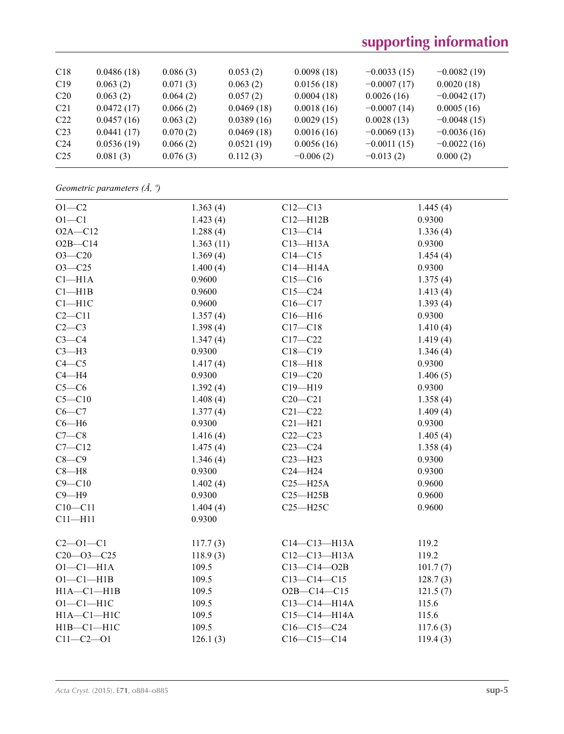## **supporting information**

| C18             | 0.0486(18) | 0.086(3) | 0.053(2)   | 0.0098(18)  | $-0.0033(15)$ | $-0.0082(19)$ |
|-----------------|------------|----------|------------|-------------|---------------|---------------|
| C19             | 0.063(2)   | 0.071(3) | 0.063(2)   | 0.0156(18)  | $-0.0007(17)$ | 0.0020(18)    |
| C <sub>20</sub> | 0.063(2)   | 0.064(2) | 0.057(2)   | 0.0004(18)  | 0.0026(16)    | $-0.0042(17)$ |
| C <sub>21</sub> | 0.0472(17) | 0.066(2) | 0.0469(18) | 0.0018(16)  | $-0.0007(14)$ | 0.0005(16)    |
| C <sub>22</sub> | 0.0457(16) | 0.063(2) | 0.0389(16) | 0.0029(15)  | 0.0028(13)    | $-0.0048(15)$ |
| C <sub>23</sub> | 0.0441(17) | 0.070(2) | 0.0469(18) | 0.0016(16)  | $-0.0069(13)$ | $-0.0036(16)$ |
| C <sub>24</sub> | 0.0536(19) | 0.066(2) | 0.0521(19) | 0.0056(16)  | $-0.0011(15)$ | $-0.0022(16)$ |
| C <sub>25</sub> | 0.081(3)   | 0.076(3) | 0.112(3)   | $-0.006(2)$ | $-0.013(2)$   | 0.000(2)      |

*Geometric parameters (Å, º)*

| $O1-C2$          | 1.363(4)  | $C12 - C13$       | 1.445(4) |
|------------------|-----------|-------------------|----------|
| $O1 - C1$        | 1.423(4)  | $C12 - H12B$      | 0.9300   |
| $O2A - C12$      | 1.288(4)  | $C13-C14$         | 1.336(4) |
| $O2B - C14$      | 1.363(11) | $C13 - H13A$      | 0.9300   |
| $O3 - C20$       | 1.369(4)  | $C14 - C15$       | 1.454(4) |
| $O3 - C25$       | 1.400(4)  | $C14 - H14A$      | 0.9300   |
| $C1 - H1A$       | 0.9600    | $C15-C16$         | 1.375(4) |
| Cl—H1B           | 0.9600    | $C15-C24$         | 1.413(4) |
| $C1 - H1C$       | 0.9600    | $C16 - C17$       | 1.393(4) |
| $C2 - C11$       | 1.357(4)  | $C16 - H16$       | 0.9300   |
| $C2-C3$          | 1.398(4)  | $C17 - C18$       | 1.410(4) |
| $C3-C4$          | 1.347(4)  | $C17 - C22$       | 1.419(4) |
| $C3-H3$          | 0.9300    | $C18 - C19$       | 1.346(4) |
| $C4 - C5$        | 1.417(4)  | $C18 - H18$       | 0.9300   |
| $C4 - H4$        | 0.9300    | $C19 - C20$       | 1.406(5) |
| $C5-C6$          | 1.392(4)  | $C19 - H19$       | 0.9300   |
| $C5 - C10$       | 1.408(4)  | $C20 - C21$       | 1.358(4) |
| $C6-C7$          | 1.377(4)  | $C21 - C22$       | 1.409(4) |
| $C6 - H6$        | 0.9300    | $C21 - H21$       | 0.9300   |
| $C7-C8$          | 1.416(4)  | $C22-C23$         | 1.405(4) |
| $C7 - C12$       | 1.475(4)  | $C23-C24$         | 1.358(4) |
| $C8-C9$          | 1.346(4)  | $C23 - H23$       | 0.9300   |
| $C8 - H8$        | 0.9300    | $C24 - H24$       | 0.9300   |
| $C9 - C10$       | 1.402(4)  | $C25 - H25A$      | 0.9600   |
| $C9 - H9$        | 0.9300    | $C25 - H25B$      | 0.9600   |
| $C10 - C11$      | 1.404(4)  | $C25 - H25C$      | 0.9600   |
| $C11 - H11$      | 0.9300    |                   |          |
| $C2 - 01 - C1$   | 117.7(3)  | $C14-C13-H13A$    | 119.2    |
| $C20 - 03 - C25$ | 118.9(3)  | C12-C13-H13A      | 119.2    |
| $O1 - C1 - H1A$  | 109.5     | $C13 - C14 - O2B$ | 101.7(7) |
| $O1 - C1 - H1B$  | 109.5     | $C13-C14-C15$     | 128.7(3) |
| $H1A - C1 - H1B$ | 109.5     | $O2B - C14 - C15$ | 121.5(7) |
| $O1-C1-H1C$      | 109.5     | $C13-C14-H14A$    | 115.6    |
| $H1A - C1 - H1C$ | 109.5     | C15-C14-H14A      | 115.6    |
| $H1B - C1 - H1C$ | 109.5     | $C16-C15-C24$     | 117.6(3) |
| $C11 - C2 - 01$  | 126.1(3)  | $C16-C15-C14$     | 119.4(3) |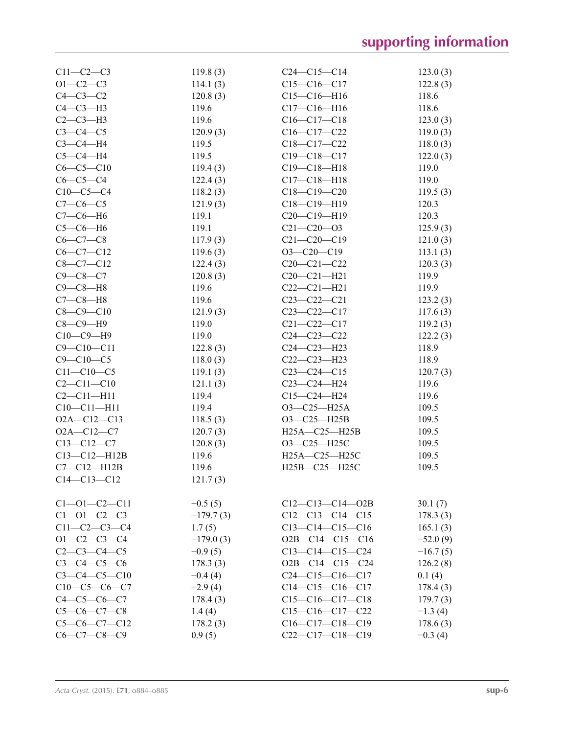| $C11-C2-C3$          | 119.8(3)    | $C24 - C15 - C14$       | 123.0(3)   |
|----------------------|-------------|-------------------------|------------|
| $O1 - C2 - C3$       | 114.1(3)    | $C15-C16-C17$           | 122.8(3)   |
| $C4-C3-C2$           | 120.8(3)    | $C15-C16-H16$           | 118.6      |
| $C4-C3-H3$           | 119.6       | $C17 - C16 - H16$       | 118.6      |
| $C2-C3-H3$           | 119.6       | $C16-C17-C18$           | 123.0(3)   |
| $C3-C4-C5$           | 120.9(3)    | $C16-C17-C22$           | 119.0(3)   |
| $C3-C4-H4$           | 119.5       | $C18 - C17 - C22$       | 118.0(3)   |
| $C5-C4-H4$           | 119.5       | $C19 - C18 - C17$       | 122.0(3)   |
| $C6-C5-C10$          | 119.4(3)    | $C19 - C18 - H18$       | 119.0      |
| $C6-C5-C4$           | 122.4(3)    | $C17 - C18 - H18$       | 119.0      |
| $C10-C5-C4$          | 118.2(3)    | $C18 - C19 - C20$       | 119.5(3)   |
| $C7 - C6 - C5$       | 121.9(3)    | C18-C19-H19             | 120.3      |
| $C7-C6-H6$           | 119.1       | $C20-C19-H19$           | 120.3      |
| $C5-C6-H6$           | 119.1       | $C21 - C20 - 03$        | 125.9(3)   |
| $C6-C7-C8$           | 117.9(3)    | $C21 - C20 - C19$       | 121.0(3)   |
| $C6-C7-C12$          | 119.6(3)    | $O3-C20-C19$            | 113.1(3)   |
| $C8 - C7 - C12$      | 122.4(3)    | $C20 - C21 - C22$       | 120.3(3)   |
| $C9 - C8 - C7$       | 120.8(3)    | $C20 - C21 - H21$       | 119.9      |
| $C9 - C8 - H8$       | 119.6       | $C22-C21-H21$           | 119.9      |
| $C7-C8-H8$           | 119.6       | $C23 - C22 - C21$       | 123.2(3)   |
| $C8 - C9 - C10$      | 121.9(3)    | $C23-C22-C17$           | 117.6(3)   |
| $C8-C9-H9$           | 119.0       | $C21 - C22 - C17$       | 119.2(3)   |
| $C10-C9-H9$          | 119.0       | $C24 - C23 - C22$       | 122.2(3)   |
| $C9 - C10 - C11$     | 122.8(3)    | $C24 - C23 - H23$       | 118.9      |
| $C9 - C10 - C5$      | 118.0(3)    | $C22-C23-H23$           | 118.9      |
| $C11 - C10 - C5$     | 119.1(3)    | $C23-C24-C15$           | 120.7(3)   |
| $C2 - C11 - C10$     | 121.1(3)    | $C23-C24-H24$           | 119.6      |
| $C2 - C11 - H11$     | 119.4       | $C15 - C24 - H24$       | 119.6      |
| $C10-C11-H11$        | 119.4       | $O3-C25-H25A$           | 109.5      |
| $O2A - C12 - C13$    | 118.5(3)    | $O3-C25-H25B$           | 109.5      |
| $O2A - C12 - C7$     | 120.7(3)    | H25A-C25-H25B           | 109.5      |
| $C13-C12-C7$         | 120.8(3)    | O3-C25-H25C             | 109.5      |
| $C13 - C12 - H12B$   | 119.6       | H25A-C25-H25C           | 109.5      |
| $C7 - C12 - H12B$    | 119.6       | H25B-C25-H25C           | 109.5      |
| $C14 - C13 - C12$    | 121.7(3)    |                         |            |
|                      |             |                         |            |
| $C1 - 01 - C2 - C11$ | $-0.5(5)$   | $C12-C13-C14-02B$       | 30.1(7)    |
| $C1 - 01 - C2 - C3$  | $-179.7(3)$ | $C12-C13-C14-C15$       | 178.3(3)   |
| $C11-C2-C3-C4$       | 1.7(5)      | $C13-C14-C15-C16$       | 165.1(3)   |
| $O1 - C2 - C3 - C4$  | $-179.0(3)$ | $O2B - C14 - C15 - C16$ | $-52.0(9)$ |
| $C2-C3-C4-C5$        | $-0.9(5)$   | $C13-C14-C15-C24$       | $-16.7(5)$ |
| $C3 - C4 - C5 - C6$  | 178.3(3)    | $O2B - C14 - C15 - C24$ | 126.2(8)   |
| $C3-C4-C5-C10$       | $-0.4(4)$   | $C24-C15-C16-C17$       | 0.1(4)     |
| $C10-C5-C6-C7$       | $-2.9(4)$   | $C14-C15-C16-C17$       | 178.4(3)   |
| $C4 - C5 - C6 - C7$  | 178.4(3)    | $C15-C16-C17-C18$       | 179.7(3)   |
| $C5-C6-C7-C8$        | 1.4(4)      | $C15-C16-C17-C22$       | $-1.3(4)$  |
| $C5-C6-C7-C12$       | 178.2(3)    | $C16-C17-C18-C19$       | 178.6(3)   |
| $C6-C7-C8-C9$        | 0.9(5)      | $C22-C17-C18-C19$       | $-0.3(4)$  |
|                      |             |                         |            |